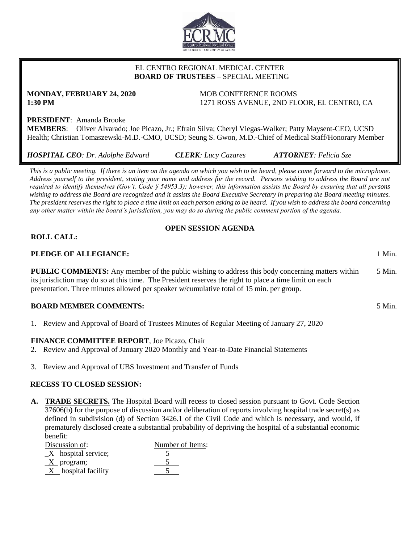

# EL CENTRO REGIONAL MEDICAL CENTER  **BOARD OF TRUSTEES** – SPECIAL MEETING

# **MONDAY, FEBRUARY 24, 2020** MOB CONFERENCE ROOMS

**1:30 PM** 1271 ROSS AVENUE, 2ND FLOOR, EL CENTRO, CA

## **PRESIDENT**: Amanda Brooke

**MEMBERS**: Oliver Alvarado; Joe Picazo, Jr.; Efrain Silva; Cheryl Viegas-Walker; Patty Maysent-CEO, UCSD Health; Christian Tomaszewski-M.D.-CMO, UCSD; Seung S. Gwon, M.D.-Chief of Medical Staff/Honorary Member

*HOSPITAL CEO: Dr. Adolphe Edward CLERK: Lucy Cazares ATTORNEY: Felicia Sze*

*This is a public meeting. If there is an item on the agenda on which you wish to be heard, please come forward to the microphone. Address yourself to the president, stating your name and address for the record. Persons wishing to address the Board are not required to identify themselves (Gov't. Code § 54953.3); however, this information assists the Board by ensuring that all persons wishing to address the Board are recognized and it assists the Board Executive Secretary in preparing the Board meeting minutes. The president reserves the right to place a time limit on each person asking to be heard. If you wish to address the board concerning any other matter within the board's jurisdiction, you may do so during the public comment portion of the agenda.*

## **OPEN SESSION AGENDA**

## **ROLL CALL:**

#### **PLEDGE OF ALLEGIANCE:** 1 Min.

**PUBLIC COMMENTS:** Any member of the public wishing to address this body concerning matters within its jurisdiction may do so at this time. The President reserves the right to place a time limit on each presentation. Three minutes allowed per speaker w/cumulative total of 15 min. per group. 5 Min.

#### **BOARD MEMBER COMMENTS:** 5 Min.

1. Review and Approval of Board of Trustees Minutes of Regular Meeting of January 27, 2020

#### **FINANCE COMMITTEE REPORT**, Joe Picazo, Chair

- 2. Review and Approval of January 2020 Monthly and Year-to-Date Financial Statements
- 3. Review and Approval of UBS Investment and Transfer of Funds

#### **RECESS TO CLOSED SESSION:**

**A. TRADE SECRETS.** The Hospital Board will recess to closed session pursuant to Govt. Code Section 37606(b) for the purpose of discussion and/or deliberation of reports involving hospital trade secret(s) as defined in subdivision (d) of Section 3426.1 of the Civil Code and which is necessary, and would, if prematurely disclosed create a substantial probability of depriving the hospital of a substantial economic benefit:

| Discussion of:                    | Number of Items: |
|-----------------------------------|------------------|
| $\underline{X}$ hospital service; |                  |
| $\underline{X}$ program;          |                  |
| $X$ hospital facility             |                  |